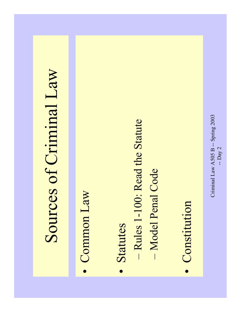## Sources of Criminal Law Sources of Criminal Law

- Common Law Common Law
- Statutes Statutes •
- Rules 1-100: Read the Statute – Rules 1-100: Read the Statute
- Model Penal Code - Model Penal Code
- Constitution Constitution•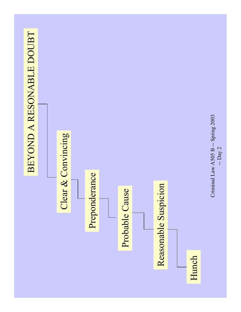



Criminal Law A505 B -- Spring 2003 Criminal Law A505 B -- Spring 2003 -- Day 2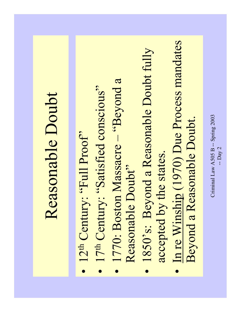## Reasonable Doubt Reasonable Doubt

- $\bullet$  12<sup>th</sup> Century: "Full Proof" •  $12<sup>th</sup>$  Century: "Full Proof"
- 17<sup>th</sup> Century: "Satisfied conscious"  $\bullet$  17<sup>th</sup> Century: "Satisfied conscious"
- 1770: Boston Massacre "Beyond a • 1770: Boston Massacre - "Beyond a Reasonable Doubt" Reasonable Doubt"
- 1850's: Beyond a Reasonable Doubt fully 1850's: Beyond a Reasonable Doubt fully accepted by the states. accepted by the states.  $\bullet$
- In re Winship (1970) Due Process mandates In re Winship (1970) Due Process mandates Beyond a Reasonable Doubt. Beyond a Reasonable Doubt. $\bullet$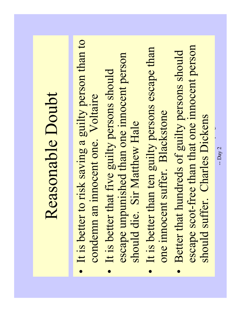## It is better to risk saving a guilty person than to · It is better to risk saving a guilty person than to escape scot-free than that one innocent person It is better than ten guilty persons escape than escape scot-free than that one innocent person It is better than ten guilty persons escape than Better that hundreds of guilty persons should Better that hundreds of guilty persons should escape unpunished than one innocent person escape unpunished than one innocent person It is better that five guilty persons should It is better that five guilty persons should Reasonable Doubt Reasonable Doubt condemn an innocent one. Voltaire condemn an innocent one. Voltaire one innocent suffer. Blackstone one innocent suffer. Blackstone should die. Sir Matthew Hale should die. Sir Matthew Hale •••

should suffer. Charles Dickens should suffer. Charles Dickens  $\overline{\phantom{a}}$